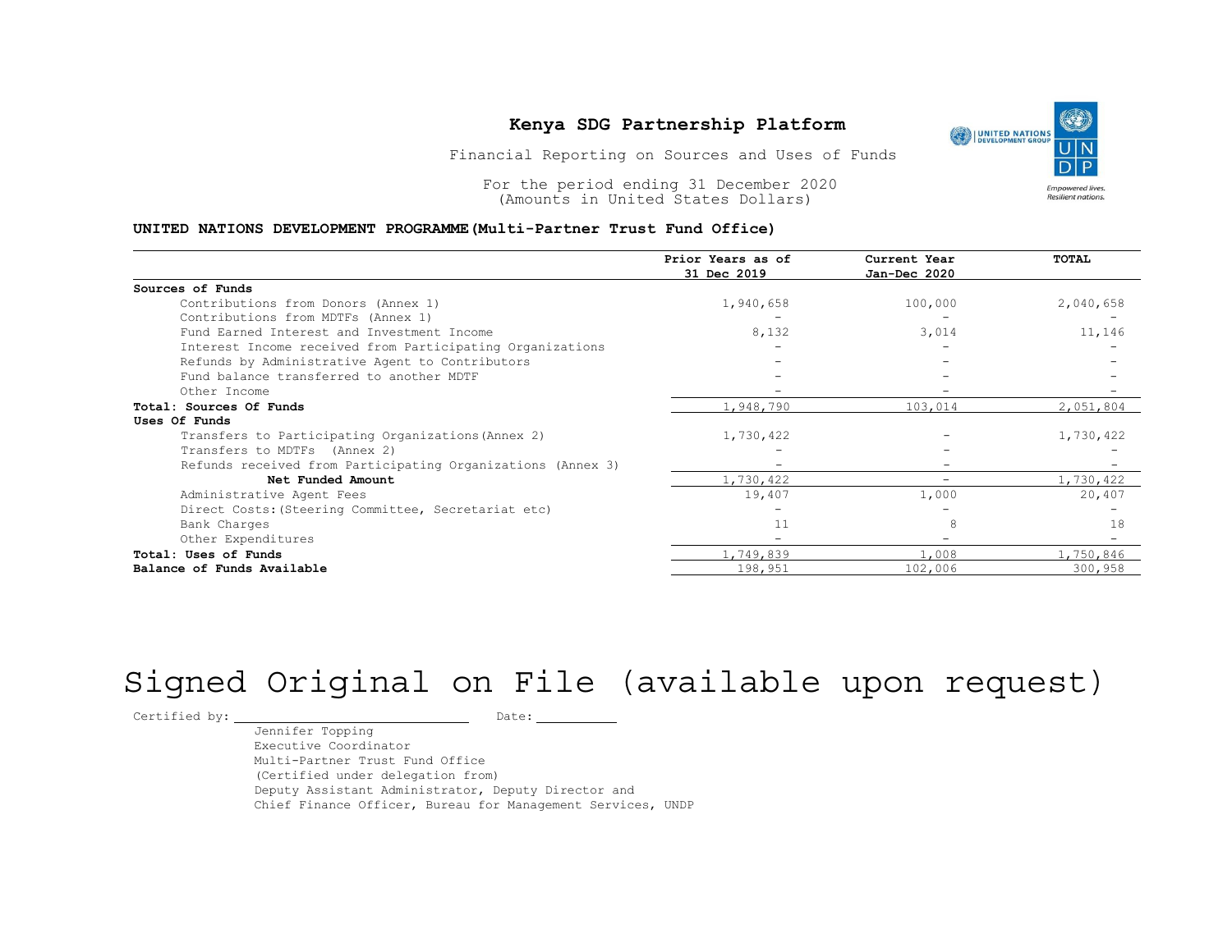#### UNITED NATIONS DEVELOPMENT PROGRAMME(Multi-Partner Trust Fund Office)

|                                                                              | Kenya SDG Partnership Platform<br>Financial Reporting on Sources and Uses of Funds |                              | <b>UNITED NATIONS</b><br>DEVELOPMENT GROUP |  |
|------------------------------------------------------------------------------|------------------------------------------------------------------------------------|------------------------------|--------------------------------------------|--|
| For the period ending 31 December 2020<br>(Amounts in United States Dollars) |                                                                                    |                              |                                            |  |
| UNITED NATIONS DEVELOPMENT PROGRAMME (Multi-Partner Trust Fund Office)       | Prior Years as of<br>31 Dec 2019                                                   | Current Year<br>Jan-Dec 2020 | TOTAL                                      |  |
| Sources of Funds                                                             |                                                                                    |                              |                                            |  |
| Contributions from Donors (Annex 1)                                          | 1,940,658                                                                          | 100,000                      | 2,040,658                                  |  |
| Contributions from MDTFs (Annex 1)                                           |                                                                                    |                              |                                            |  |
| Fund Earned Interest and Investment Income                                   | 8,132                                                                              | 3,014                        | 11,146                                     |  |
| Interest Income received from Participating Organizations                    |                                                                                    |                              |                                            |  |
| Refunds by Administrative Agent to Contributors                              |                                                                                    |                              |                                            |  |
| Fund balance transferred to another MDTF                                     |                                                                                    |                              |                                            |  |
| Other Income                                                                 | $\sim$                                                                             |                              |                                            |  |
| Total: Sources Of Funds                                                      | 1,948,790                                                                          | 103,014                      | 2,051,804                                  |  |
| Uses Of Funds                                                                |                                                                                    |                              |                                            |  |
| Transfers to Participating Organizations (Annex 2)                           | 1,730,422                                                                          |                              | 1,730,422                                  |  |
| Transfers to MDTFs (Annex 2)                                                 |                                                                                    |                              |                                            |  |
| Refunds received from Participating Organizations (Annex 3)                  |                                                                                    |                              |                                            |  |
| Net Funded Amount                                                            | 1,730,422                                                                          | $\overline{\phantom{0}}$     | 1,730,422                                  |  |
| Administrative Agent Fees                                                    | 19,407                                                                             | 1,000                        | 20,407                                     |  |
| Direct Costs: (Steering Committee, Secretariat etc)                          |                                                                                    |                              |                                            |  |
| Bank Charges                                                                 | 11                                                                                 |                              | 18                                         |  |
| Other Expenditures                                                           |                                                                                    |                              |                                            |  |
| Total: Uses of Funds                                                         | 1,749,839                                                                          | 1,008                        | 1,750,846                                  |  |
|                                                                              |                                                                                    |                              |                                            |  |

# Signed Original on File (available upon request)

 $\begin{tabular}{ccccc} \multicolumn{2}{c|}{\texttt{Certified by:}} & \multicolumn{2}{c|}{\texttt{Output}} & \multicolumn{2}{c|}{\texttt{Date:}} \end{tabular}$ 

Jennifer Topping Executive Coordinator Multi-Partner Trust Fund Office (Certified under delegation from) Deputy Assistant Administrator, Deputy Director and Chief Finance Officer, Bureau for Management Services, UNDP

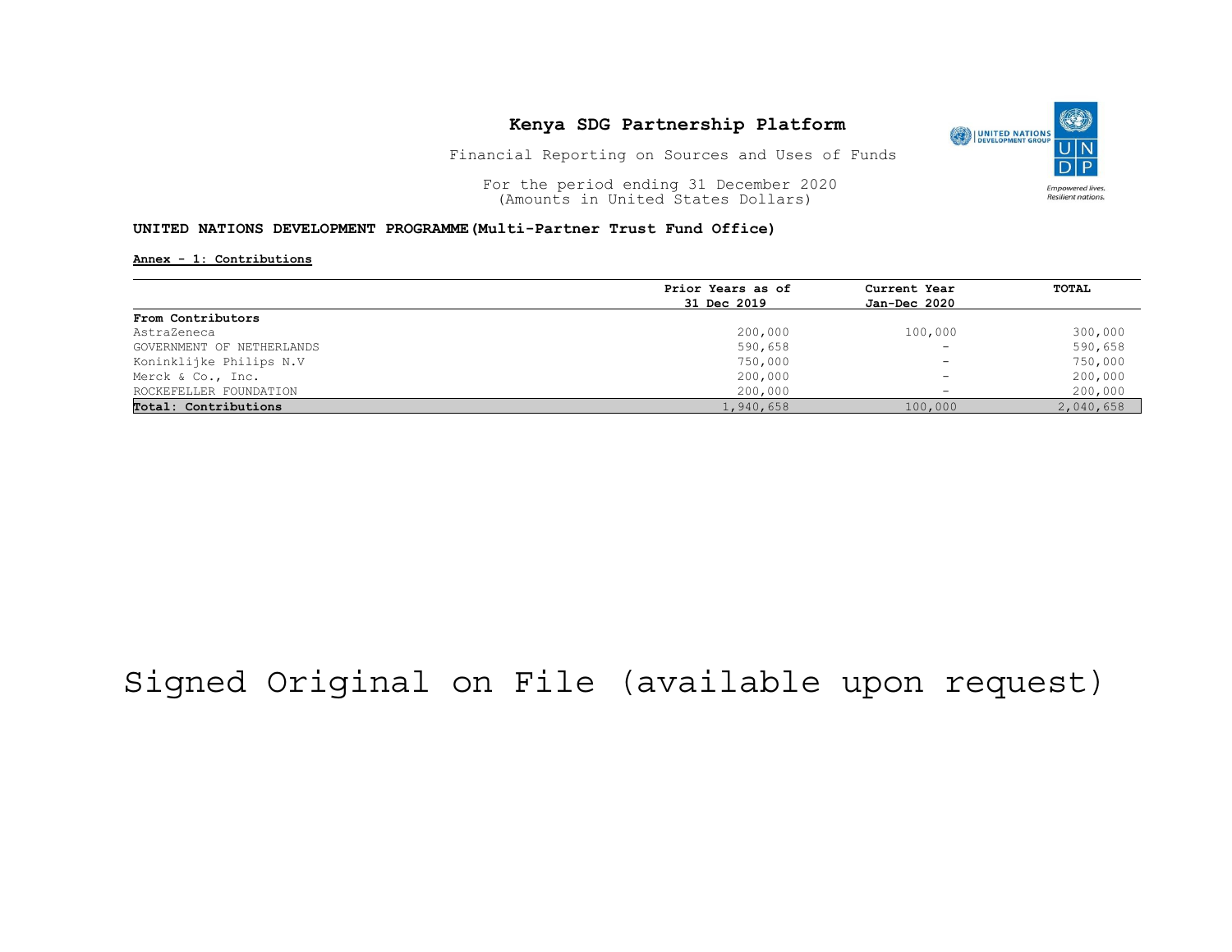

Financial Reporting on Sources and Uses of Funds

For the period ending 31 December 2020<br>
(Amounts in United States Dollars) (amounts in United States Dollars) (Amounts in United States Dollars)

#### UNITED NATIONS DEVELOPMENT PROGRAMME(Multi-Partner Trust Fund Office)

#### Annex - 1: Contributions

|                           | Prior Years as of | Current Year<br>Jan-Dec 2020 | <b>TOTAL</b> |
|---------------------------|-------------------|------------------------------|--------------|
|                           | 31 Dec 2019       |                              |              |
| From Contributors         |                   |                              |              |
| AstraZeneca               | 200,000           | 100,000                      | 300,000      |
| GOVERNMENT OF NETHERLANDS | 590,658           | $\overline{\phantom{a}}$     | 590,658      |
| Koninklijke Philips N.V   | 750,000           | $\overline{\phantom{a}}$     | 750,000      |
| Merck & Co., Inc.         | 200,000           | $\overline{\phantom{a}}$     | 200,000      |
| ROCKEFELLER FOUNDATION    | 200,000           |                              | 200,000      |
| Total: Contributions      | 1,940,658         | 100,000                      | 2,040,658    |

## Signed Original on File (available upon request)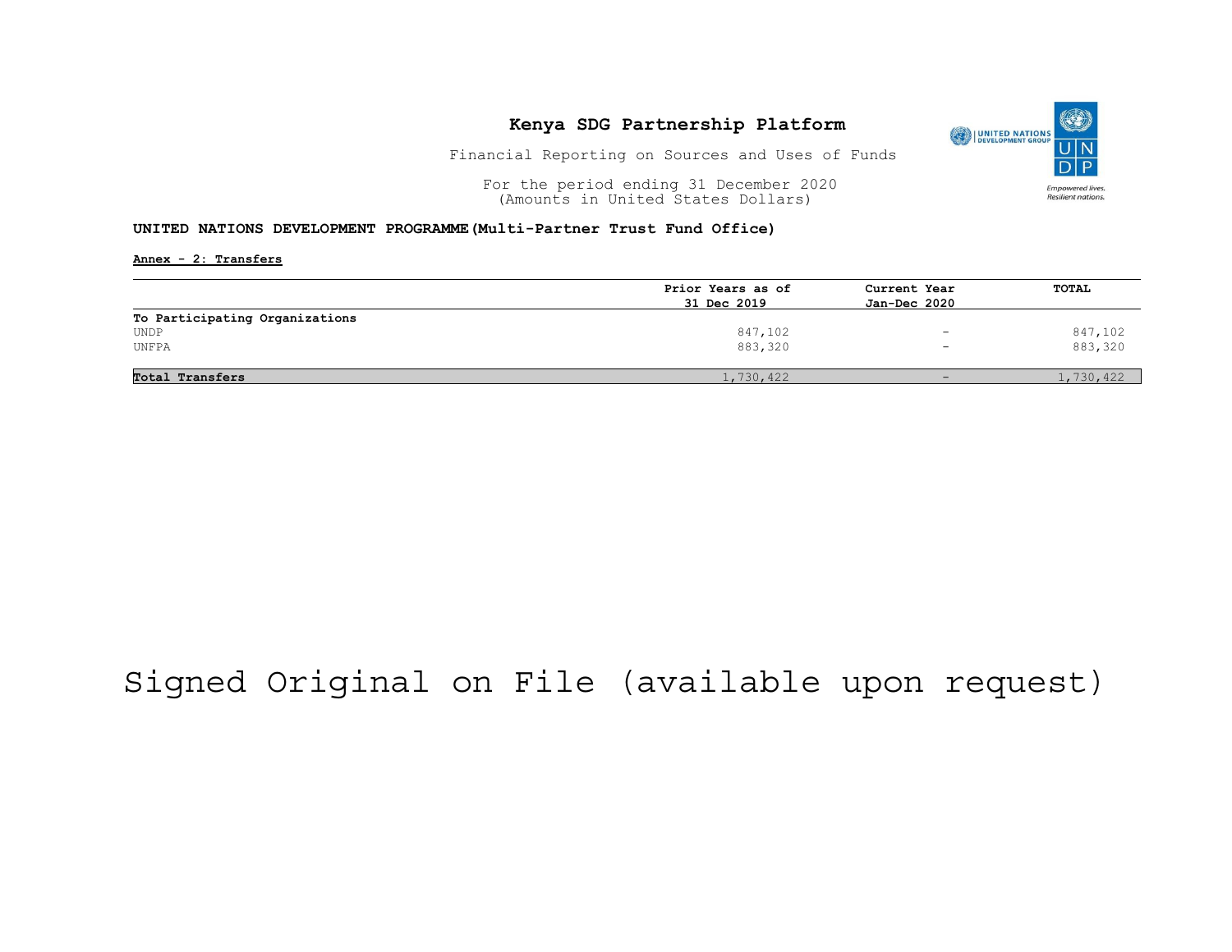

Financial Reporting on Sources and Uses of Funds

For the period ending 31 December 2020<br>
(Amounts in United States Dollars) (amounts in United States Dollars) (Amounts in United States Dollars)

#### UNITED NATIONS DEVELOPMENT PROGRAMME(Multi-Partner Trust Fund Office)

Annex - 2: Transfers

|                                | Prior Years as of | Current Year<br>Jan-Dec 2020 | <b>TOTAL</b> |
|--------------------------------|-------------------|------------------------------|--------------|
|                                | 31 Dec 2019       |                              |              |
| To Participating Organizations |                   |                              |              |
| UNDP                           | 847,102           | -                            | 847,102      |
| UNFPA                          | 883,320           | $\overline{\phantom{a}}$     | 883,320      |
| Total Transfers                | 1,730,422         |                              | 1,730,422    |

## Signed Original on File (available upon request)